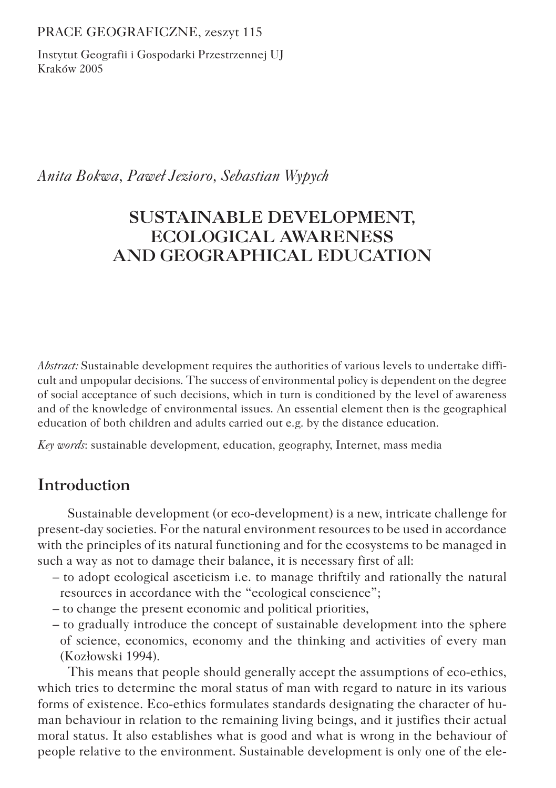PRACE GEOGRAFICZNE, zeszyt 115

Instytut Geografii i Gospodarki Przestrzennej UJ Kraków 2005

*Anita Bokwa, Paweł Jezioro, Sebastian Wypych*

# **SUSTAINABLE DEVELOPMENT, ECOLOGICAL AWARENESS AND GEOGRAPHICAL EDUCATION**

*Abstract:* Sustainable development requires the authorities of various levels to undertake difficult and unpopular decisions. The success of environmental policy is dependent on the degree of social acceptance of such decisions, which in turn is conditioned by the level of awareness and of the knowledge of environmental issues. An essential element then is the geographical education of both children and adults carried out e.g. by the distance education.

*Key words*: sustainable development, education, geography, Internet, mass media

# **Introduction**

Sustainable development (or eco-development) is a new, intricate challenge for present-day societies. For the natural environment resources to be used in accordance with the principles of its natural functioning and for the ecosystems to be managed in such a way as not to damage their balance, it is necessary first of all:

- to adopt ecological asceticism i.e. to manage thriftily and rationally the natural resources in accordance with the "ecological conscience";
- to change the present economic and political priorities,
- to gradually introduce the concept of sustainable development into the sphere of science, economics, economy and the thinking and activities of every man (Kozłowski 1994).

This means that people should generally accept the assumptions of eco-ethics, which tries to determine the moral status of man with regard to nature in its various forms of existence. Eco-ethics formulates standards designating the character of human behaviour in relation to the remaining living beings, and it justifies their actual moral status. It also establishes what is good and what is wrong in the behaviour of people relative to the environment. Sustainable development is only one of the ele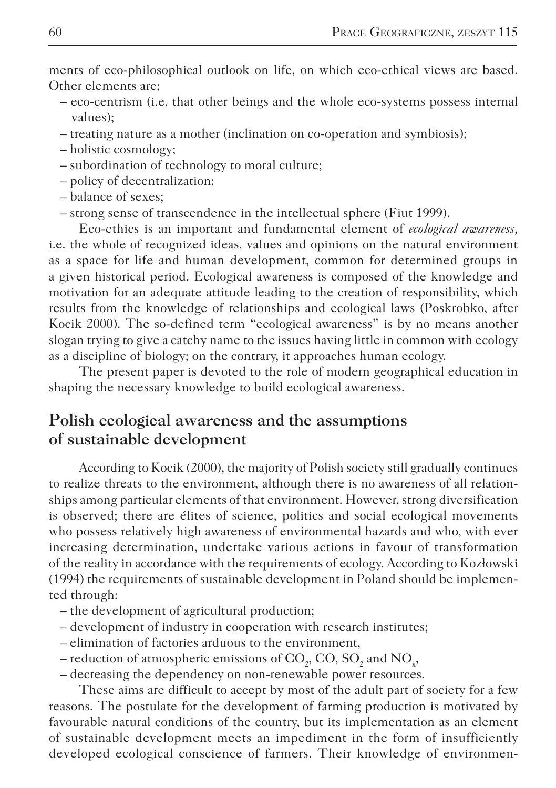ments of eco-philosophical outlook on life, on which eco-ethical views are based. Other elements are;

- eco-centrism (i.e. that other beings and the whole eco-systems possess internal values);
- treating nature as a mother (inclination on co-operation and symbiosis);
- holistic cosmology;
- subordination of technology to moral culture;
- policy of decentralization;
- balance of sexes;
- strong sense of transcendence in the intellectual sphere (Fiut 1999).

Eco-ethics is an important and fundamental element of *ecological awareness,* i.e. the whole of recognized ideas, values and opinions on the natural environment as a space for life and human development, common for determined groups in a given historical period. Ecological awareness is composed of the knowledge and motivation for an adequate attitude leading to the creation of responsibility, which results from the knowledge of relationships and ecological laws (Poskrobko, after Kocik 2000). The so-defined term "ecological awareness" is by no means another slogan trying to give a catchy name to the issues having little in common with ecology as a discipline of biology; on the contrary, it approaches human ecology.

The present paper is devoted to the role of modern geographical education in shaping the necessary knowledge to build ecological awareness.

## **Polish ecological awareness and the assumptions of sustainable development**

According to Kocik (2000), the majority of Polish society still gradually continues to realize threats to the environment, although there is no awareness of all relationships among particular elements of that environment. However, strong diversification is observed; there are élites of science, politics and social ecological movements who possess relatively high awareness of environmental hazards and who, with ever increasing determination, undertake various actions in favour of transformation of the reality in accordance with the requirements of ecology. According to Kozłowski (1994) the requirements of sustainable development in Poland should be implemented through:

- the development of agricultural production;
- development of industry in cooperation with research institutes;
- elimination of factories arduous to the environment,
- reduction of atmospheric emissions of  $\mathrm{CO}_2$ ,  $\mathrm{CO}$ ,  $\mathrm{SO}_2$  and  $\mathrm{NO_x}$ ,
- decreasing the dependency on non-renewable power resources.

These aims are difficult to accept by most of the adult part of society for a few reasons. The postulate for the development of farming production is motivated by favourable natural conditions of the country, but its implementation as an element of sustainable development meets an impediment in the form of insufficiently developed ecological conscience of farmers. Their knowledge of environmen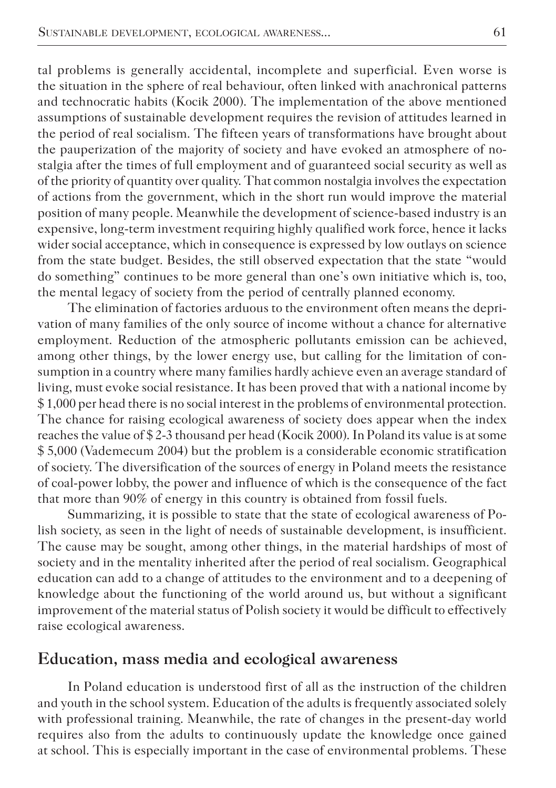tal problems is generally accidental, incomplete and superficial. Even worse is the situation in the sphere of real behaviour, often linked with anachronical patterns and technocratic habits (Kocik 2000). The implementation of the above mentioned assumptions of sustainable development requires the revision of attitudes learned in the period of real socialism. The fifteen years of transformations have brought about the pauperization of the majority of society and have evoked an atmosphere of nostalgia after the times of full employment and of guaranteed social security as well as of the priority of quantity over quality. That common nostalgia involves the expectation of actions from the government, which in the short run would improve the material position of many people. Meanwhile the development of science-based industry is an expensive, long-term investment requiring highly qualified work force, hence it lacks wider social acceptance, which in consequence is expressed by low outlays on science from the state budget. Besides, the still observed expectation that the state "would do something" continues to be more general than one's own initiative which is, too, the mental legacy of society from the period of centrally planned economy.

The elimination of factories arduous to the environment often means the deprivation of many families of the only source of income without a chance for alternative employment. Reduction of the atmospheric pollutants emission can be achieved, among other things, by the lower energy use, but calling for the limitation of consumption in a country where many families hardly achieve even an average standard of living, must evoke social resistance. It has been proved that with a national income by \$ 1,000 per head there is no social interest in the problems of environmental protection. The chance for raising ecological awareness of society does appear when the index reaches the value of \$ 2-3 thousand per head (Kocik 2000). In Poland its value is at some \$ 5,000 (Vademecum 2004) but the problem is a considerable economic stratification of society. The diversification of the sources of energy in Poland meets the resistance of coal-power lobby, the power and influence of which is the consequence of the fact that more than 90% of energy in this country is obtained from fossil fuels.

Summarizing, it is possible to state that the state of ecological awareness of Polish society, as seen in the light of needs of sustainable development, is insufficient. The cause may be sought, among other things, in the material hardships of most of society and in the mentality inherited after the period of real socialism. Geographical education can add to a change of attitudes to the environment and to a deepening of knowledge about the functioning of the world around us, but without a significant improvement of the material status of Polish society it would be difficult to effectively raise ecological awareness.

#### **Education, mass media and ecological awareness**

In Poland education is understood first of all as the instruction of the children and youth in the school system. Education of the adults is frequently associated solely with professional training. Meanwhile, the rate of changes in the present-day world requires also from the adults to continuously update the knowledge once gained at school. This is especially important in the case of environmental problems. These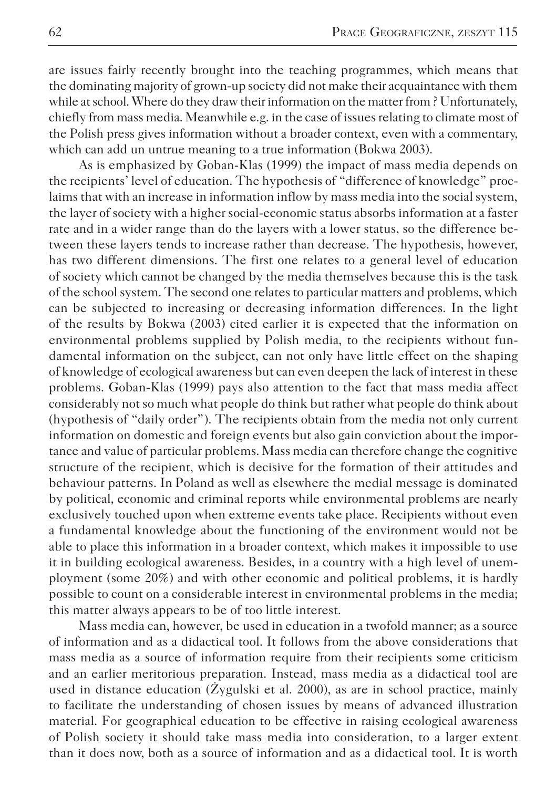are issues fairly recently brought into the teaching programmes, which means that the dominating majority of grown-up society did not make their acquaintance with them while at school. Where do they draw their information on the matter from ? Unfortunately, chiefly from mass media. Meanwhile e.g. in the case of issues relating to climate most of the Polish press gives information without a broader context, even with a commentary, which can add un untrue meaning to a true information (Bokwa 2003).

As is emphasized by Goban-Klas (1999) the impact of mass media depends on the recipients' level of education. The hypothesis of "difference of knowledge" proclaims that with an increase in information inflow by mass media into the social system, the layer of society with a higher social-economic status absorbs information at a faster rate and in a wider range than do the layers with a lower status, so the difference between these layers tends to increase rather than decrease. The hypothesis, however, has two different dimensions. The first one relates to a general level of education of society which cannot be changed by the media themselves because this is the task of the school system. The second one relates to particular matters and problems, which can be subjected to increasing or decreasing information differences. In the light of the results by Bokwa (2003) cited earlier it is expected that the information on environmental problems supplied by Polish media, to the recipients without fundamental information on the subject, can not only have little effect on the shaping of knowledge of ecological awareness but can even deepen the lack of interest in these problems. Goban-Klas (1999) pays also attention to the fact that mass media affect considerably not so much what people do think but rather what people do think about (hypothesis of "daily order"). The recipients obtain from the media not only current information on domestic and foreign events but also gain conviction about the importance and value of particular problems. Mass media can therefore change the cognitive structure of the recipient, which is decisive for the formation of their attitudes and behaviour patterns. In Poland as well as elsewhere the medial message is dominated by political, economic and criminal reports while environmental problems are nearly exclusively touched upon when extreme events take place. Recipients without even a fundamental knowledge about the functioning of the environment would not be able to place this information in a broader context, which makes it impossible to use it in building ecological awareness. Besides, in a country with a high level of unemployment (some 20%) and with other economic and political problems, it is hardly possible to count on a considerable interest in environmental problems in the media; this matter always appears to be of too little interest.

Mass media can, however, be used in education in a twofold manner; as a source of information and as a didactical tool. It follows from the above considerations that mass media as a source of information require from their recipients some criticism and an earlier meritorious preparation. Instead, mass media as a didactical tool are used in distance education (Żygulski et al. 2000), as are in school practice, mainly to facilitate the understanding of chosen issues by means of advanced illustration material. For geographical education to be effective in raising ecological awareness of Polish society it should take mass media into consideration, to a larger extent than it does now, both as a source of information and as a didactical tool. It is worth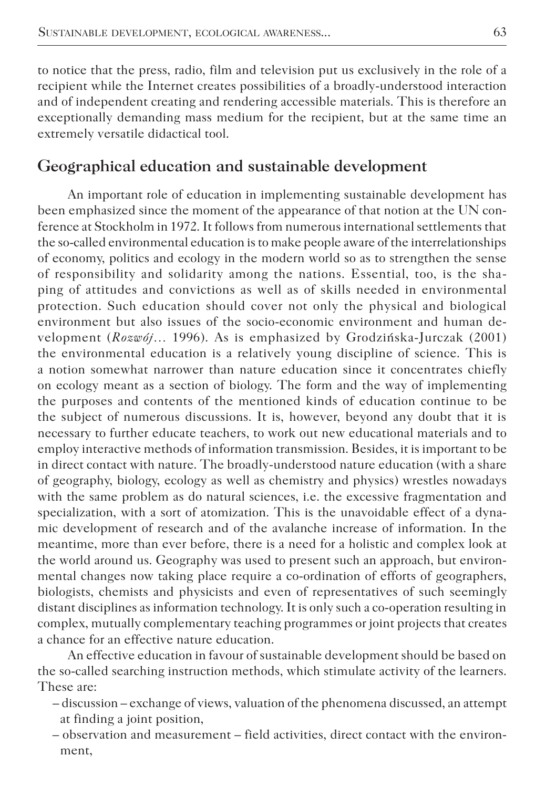to notice that the press, radio, film and television put us exclusively in the role of a recipient while the Internet creates possibilities of a broadly-understood interaction and of independent creating and rendering accessible materials. This is therefore an exceptionally demanding mass medium for the recipient, but at the same time an extremely versatile didactical tool.

## **Geographical education and sustainable development**

An important role of education in implementing sustainable development has been emphasized since the moment of the appearance of that notion at the UN conference at Stockholm in 1972. It follows from numerous international settlements that the so-called environmental education is to make people aware of the interrelationships of economy, politics and ecology in the modern world so as to strengthen the sense of responsibility and solidarity among the nations. Essential, too, is the shaping of attitudes and convictions as well as of skills needed in environmental protection. Such education should cover not only the physical and biological environment but also issues of the socio-economic environment and human development (*Rozwój…* 1996). As is emphasized by Grodzińska-Jurczak (2001) the environmental education is a relatively young discipline of science. This is a notion somewhat narrower than nature education since it concentrates chiefly on ecology meant as a section of biology. The form and the way of implementing the purposes and contents of the mentioned kinds of education continue to be the subject of numerous discussions. It is, however, beyond any doubt that it is necessary to further educate teachers, to work out new educational materials and to employ interactive methods of information transmission. Besides, it is important to be in direct contact with nature. The broadly-understood nature education (with a share of geography, biology, ecology as well as chemistry and physics) wrestles nowadays with the same problem as do natural sciences, i.e. the excessive fragmentation and specialization, with a sort of atomization. This is the unavoidable effect of a dynamic development of research and of the avalanche increase of information. In the meantime, more than ever before, there is a need for a holistic and complex look at the world around us. Geography was used to present such an approach, but environmental changes now taking place require a co-ordination of efforts of geographers, biologists, chemists and physicists and even of representatives of such seemingly distant disciplines as information technology. It is only such a co-operation resulting in complex, mutually complementary teaching programmes or joint projects that creates a chance for an effective nature education.

An effective education in favour of sustainable development should be based on the so-called searching instruction methods, which stimulate activity of the learners. These are:

- discussion exchange of views, valuation of the phenomena discussed, an attempt at finding a joint position,
- observation and measurement field activities, direct contact with the environment,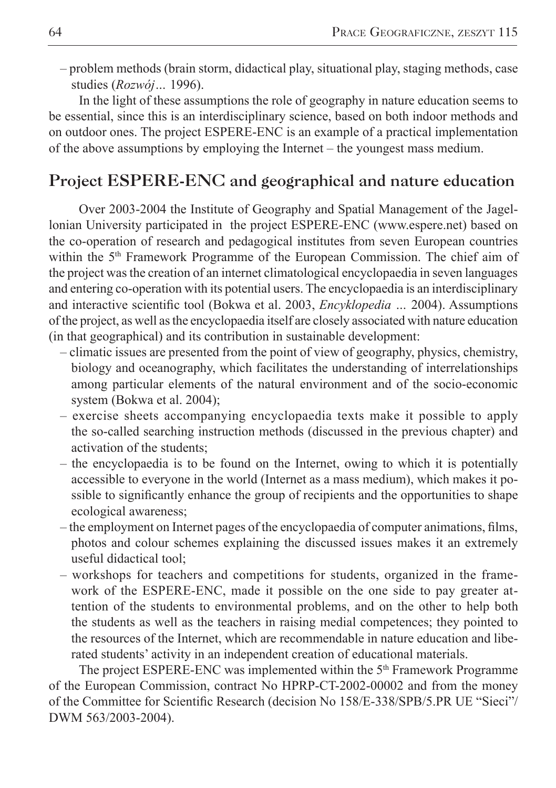– problem methods (brain storm, didactical play, situational play, staging methods, case studies (*Rozwój…* 1996).

In the light of these assumptions the role of geography in nature education seems to be essential, since this is an interdisciplinary science, based on both indoor methods and on outdoor ones. The project ESPERE-ENC is an example of a practical implementation of the above assumptions by employing the Internet – the youngest mass medium.

## **Project ESPERE-ENC and geographical and nature education**

Over 2003-2004 the Institute of Geography and Spatial Management of the Jagellonian University participated in the project ESPERE-ENC (www.espere.net) based on the co-operation of research and pedagogical institutes from seven European countries within the 5<sup>th</sup> Framework Programme of the European Commission. The chief aim of the project was the creation of an internet climatological encyclopaedia in seven languages and entering co-operation with its potential users. The encyclopaedia is an interdisciplinary and interactive scientific tool (Bokwa et al. 2003, *Encyklopedia …* 2004). Assumptions of the project, as well as the encyclopaedia itself are closely associated with nature education (in that geographical) and its contribution in sustainable development:

- climatic issues are presented from the point of view of geography, physics, chemistry, biology and oceanography, which facilitates the understanding of interrelationships among particular elements of the natural environment and of the socio-economic system (Bokwa et al. 2004);
- exercise sheets accompanying encyclopaedia texts make it possible to apply the so-called searching instruction methods (discussed in the previous chapter) and activation of the students;
- the encyclopaedia is to be found on the Internet, owing to which it is potentially accessible to everyone in the world (Internet as a mass medium), which makes it possible to significantly enhance the group of recipients and the opportunities to shape ecological awareness;
- the employment on Internet pages of the encyclopaedia of computer animations, films, photos and colour schemes explaining the discussed issues makes it an extremely useful didactical tool;
- workshops for teachers and competitions for students, organized in the framework of the ESPERE-ENC, made it possible on the one side to pay greater attention of the students to environmental problems, and on the other to help both the students as well as the teachers in raising medial competences; they pointed to the resources of the Internet, which are recommendable in nature education and liberated students' activity in an independent creation of educational materials.

The project ESPERE-ENC was implemented within the 5<sup>th</sup> Framework Programme of the European Commission, contract No HPRP-CT-2002-00002 and from the money of the Committee for Scientific Research (decision No 158/E-338/SPB/5.PR UE "Sieci"/ DWM 563/2003-2004).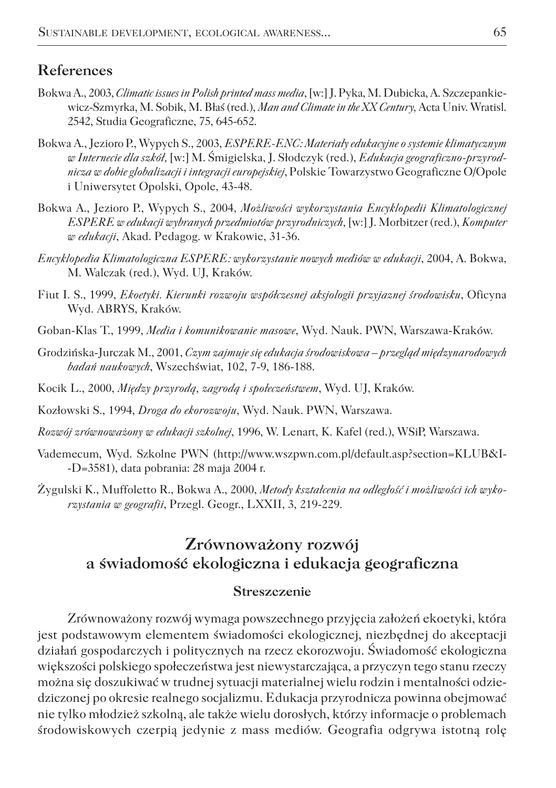#### **References**

- Bokwa A., 2003, *Climatic issues in Polish printed mass media*, [w:] J. Pyka, M. Dubicka, A. Szczepankiewicz-Szmyrka, M. Sobik, M. Błaś (red.), *Man and Climate in the XX Century,* Acta Univ. Wratisl. 2542, Studia Geograficzne, 75, 645-652.
- Bokwa A., Jezioro P., Wypych S., 2003, *ESPERE-ENC: Materiały edukacyjne o systemie klimatycznym w Internecie dla szkół,* [w:] M. Śmigielska, J. Słodczyk (red.), *Edukacja geograficzno-przyrodnicza w dobie globalizacji i integracji europejskiej*, Polskie Towarzystwo Geograficzne O/Opole i Uniwersytet Opolski, Opole, 43-48.
- Bokwa A., Jezioro P., Wypych S., 2004, *Możliwości wykorzystania Encyklopedii Klimatologicznej ESPERE w edukacji wybranych przedmiotów przyrodniczych,* [w:] J. Morbitzer (red.), *Komputer w edukacji*, Akad. Pedagog. w Krakowie, 31-36.
- *Encyklopedia Klimatologiczna ESPERE: wykorzystanie nowych mediów w edukacji*, 2004, A. Bokwa, M. Walczak (red.), Wyd. UJ, Kraków.
- Fiut I. S., 1999, *Ekoetyki. Kierunki rozwoju współczesnej aksjologii przyjaznej środowisku*, Oficyna Wyd. ABRYS, Kraków.
- Goban-Klas T., 1999, *Media i komunikowanie masowe*, Wyd. Nauk. PWN, Warszawa-Kraków.
- Grodzińska-Jurczak M., 2001, *Czym zajmuje się edukacja środowiskowa przegląd międzynarodowych badań naukowych*, Wszechświat, 102, 7-9, 186-188.
- Kocik L., 2000, *Między przyrodą, zagrodą i społeczeństwem*, Wyd. UJ, Kraków.
- Kozłowski S., 1994, *Droga do ekorozwoju*, Wyd. Nauk. PWN, Warszawa.
- *Rozwój zrównoważony w edukacji szkolnej*, 1996, W. Lenart, K. Kafel (red.), WSiP, Warszawa.
- Vademecum, Wyd. Szkolne PWN (http://www.wszpwn.com.pl/default.asp?section=KLUB&I- -D=3581), data pobrania: 28 maja 2004 r.
- Żygulski K., Muffoletto R., Bokwa A., 2000, *Metody kształcenia na odległość i możliwości ich wykorzystania w geografii*, Przegl. Geogr., LXXII, 3, 219-229.

## **Zrównoważony rozwój a świadomość ekologiczna i edukacja geograficzna**

#### **Streszczenie**

Zrównoważony rozwój wymaga powszechnego przyjęcia założeń ekoetyki, która jest podstawowym elementem świadomości ekologicznej, niezbędnej do akceptacji działań gospodarczych i politycznych na rzecz ekorozwoju. Świadomość ekologiczna większości polskiego społeczeństwa jest niewystarczająca, a przyczyn tego stanu rzeczy można się doszukiwać w trudnej sytuacji materialnej wielu rodzin i mentalności odziedziczonej po okresie realnego socjalizmu. Edukacja przyrodnicza powinna obejmować nie tylko młodzież szkolną, ale także wielu dorosłych, którzy informacje o problemach środowiskowych czerpią jedynie z mass mediów. Geografia odgrywa istotną rolę